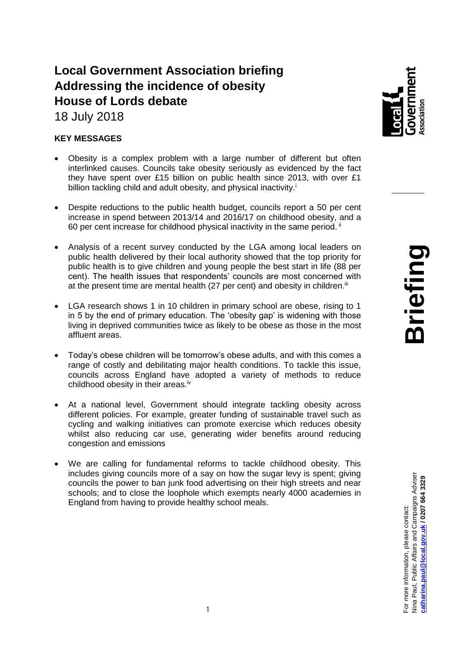# **Local Government Association briefing Addressing the incidence of obesity House of Lords debate**

18 July 2018

## **KEY MESSAGES**

- Obesity is a complex problem with a large number of different but often interlinked causes. Councils take obesity seriously as evidenced by the fact they have spent over £15 billion on public health since 2013, with over £1 billion tackling child and adult obesity, and physical inactivity.<sup>i</sup>
- Despite reductions to the public health budget, councils report a 50 per cent increase in spend between 2013/14 and 2016/17 on childhood obesity, and a 60 per cent increase for childhood physical inactivity in the same period. ii
- Analysis of a recent survey conducted by the LGA among local leaders on public health delivered by their local authority showed that the top priority for public health is to give children and young people the best start in life (88 per cent). The health issues that respondents' councils are most concerned with at the present time are mental health (27 per cent) and obesity in children.<sup>iii</sup>
- LGA research shows 1 in 10 children in primary school are obese, rising to 1 in 5 by the end of primary education. The 'obesity gap' is widening with those living in deprived communities twice as likely to be obese as those in the most affluent areas.
- Today's obese children will be tomorrow's obese adults, and with this comes a range of costly and debilitating major health conditions. To tackle this issue, councils across England have adopted a variety of methods to reduce childhood obesity in their areas.<sup>iv</sup>
- At a national level, Government should integrate tackling obesity across different policies. For example, greater funding of sustainable travel such as cycling and walking initiatives can promote exercise which reduces obesity whilst also reducing car use, generating wider benefits around reducing congestion and emissions
- We are calling for fundamental reforms to tackle childhood obesity. This includes giving councils more of a say on how the sugar levy is spent; giving councils the power to ban junk food advertising on their high streets and near schools; and to close the loophole which exempts nearly 4000 academies in England from having to provide healthy school meals.

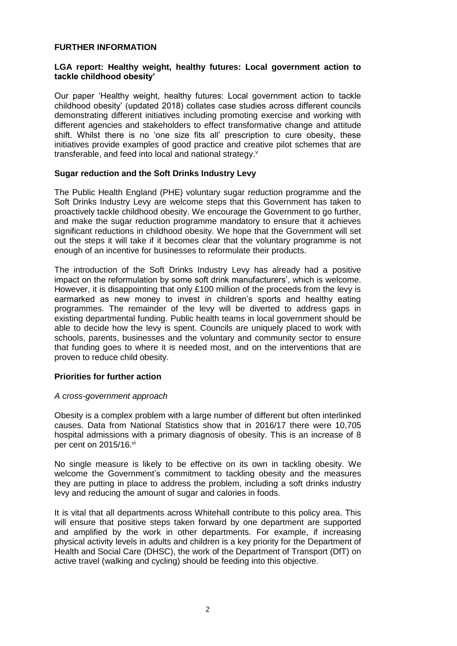#### **FURTHER INFORMATION**

#### **LGA report: Healthy weight, healthy futures: Local government action to tackle childhood obesity'**

Our paper 'Healthy weight, healthy futures: Local government action to tackle childhood obesity' (updated 2018) collates case studies across different councils demonstrating different initiatives including promoting exercise and working with different agencies and stakeholders to effect transformative change and attitude shift. Whilst there is no 'one size fits all' prescription to cure obesity, these initiatives provide examples of good practice and creative pilot schemes that are transferable, and feed into local and national strategy.<sup>v</sup>

#### **Sugar reduction and the Soft Drinks Industry Levy**

The Public Health England (PHE) voluntary sugar reduction programme and the Soft Drinks Industry Levy are welcome steps that this Government has taken to proactively tackle childhood obesity. We encourage the Government to go further, and make the sugar reduction programme mandatory to ensure that it achieves significant reductions in childhood obesity. We hope that the Government will set out the steps it will take if it becomes clear that the voluntary programme is not enough of an incentive for businesses to reformulate their products.

The introduction of the Soft Drinks Industry Levy has already had a positive impact on the reformulation by some soft drink manufacturers', which is welcome. However, it is disappointing that only £100 million of the proceeds from the levy is earmarked as new money to invest in children's sports and healthy eating programmes. The remainder of the levy will be diverted to address gaps in existing departmental funding. Public health teams in local government should be able to decide how the levy is spent. Councils are uniquely placed to work with schools, parents, businesses and the voluntary and community sector to ensure that funding goes to where it is needed most, and on the interventions that are proven to reduce child obesity.

#### **Priorities for further action**

#### *A cross-government approach*

Obesity is a complex problem with a large number of different but often interlinked causes. Data from National Statistics show that in 2016/17 there were 10,705 hospital admissions with a primary diagnosis of obesity. This is an increase of 8 per cent on 2015/16.vi

No single measure is likely to be effective on its own in tackling obesity. We welcome the Government's commitment to tackling obesity and the measures they are putting in place to address the problem, including a soft drinks industry levy and reducing the amount of sugar and calories in foods.

It is vital that all departments across Whitehall contribute to this policy area. This will ensure that positive steps taken forward by one department are supported and amplified by the work in other departments. For example, if increasing physical activity levels in adults and children is a key priority for the Department of Health and Social Care (DHSC), the work of the Department of Transport (DfT) on active travel (walking and cycling) should be feeding into this objective.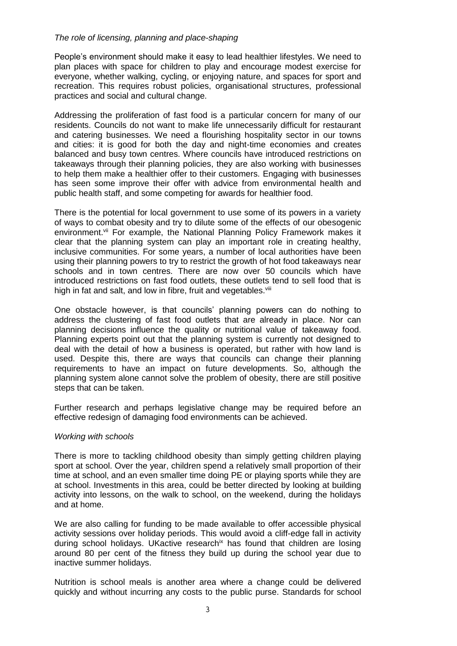#### *The role of licensing, planning and place-shaping*

People's environment should make it easy to lead healthier lifestyles. We need to plan places with space for children to play and encourage modest exercise for everyone, whether walking, cycling, or enjoying nature, and spaces for sport and recreation. This requires robust policies, organisational structures, professional practices and social and cultural change.

Addressing the proliferation of fast food is a particular concern for many of our residents. Councils do not want to make life unnecessarily difficult for restaurant and catering businesses. We need a flourishing hospitality sector in our towns and cities: it is good for both the day and night-time economies and creates balanced and busy town centres. Where councils have introduced restrictions on takeaways through their planning policies, they are also working with businesses to help them make a healthier offer to their customers. Engaging with businesses has seen some improve their offer with advice from environmental health and public health staff, and some competing for awards for healthier food.

There is the potential for local government to use some of its powers in a variety of ways to combat obesity and try to dilute some of the effects of our obesogenic environment.<sup>vii</sup> For example, the National Planning Policy Framework makes it clear that the planning system can play an important role in creating healthy, inclusive communities. For some years, a number of local authorities have been using their planning powers to try to restrict the growth of hot food takeaways near schools and in town centres. There are now over 50 councils which have introduced restrictions on fast food outlets, these outlets tend to sell food that is high in fat and salt, and low in fibre, fruit and vegetables.<sup>viii</sup>

One obstacle however, is that councils' planning powers can do nothing to address the clustering of fast food outlets that are already in place. Nor can planning decisions influence the quality or nutritional value of takeaway food. Planning experts point out that the planning system is currently not designed to deal with the detail of how a business is operated, but rather with how land is used. Despite this, there are ways that councils can change their planning requirements to have an impact on future developments. So, although the planning system alone cannot solve the problem of obesity, there are still positive steps that can be taken.

Further research and perhaps legislative change may be required before an effective redesign of damaging food environments can be achieved.

#### *Working with schools*

There is more to tackling childhood obesity than simply getting children playing sport at school. Over the year, children spend a relatively small proportion of their time at school, and an even smaller time doing PE or playing sports while they are at school. Investments in this area, could be better directed by looking at building activity into lessons, on the walk to school, on the weekend, during the holidays and at home.

We are also calling for funding to be made available to offer accessible physical activity sessions over holiday periods. This would avoid a cliff-edge fall in activity during school holidays. UKactive research<sup>ix</sup> has found that children are losing around 80 per cent of the fitness they build up during the school year due to inactive summer holidays.

Nutrition is school meals is another area where a change could be delivered quickly and without incurring any costs to the public purse. Standards for school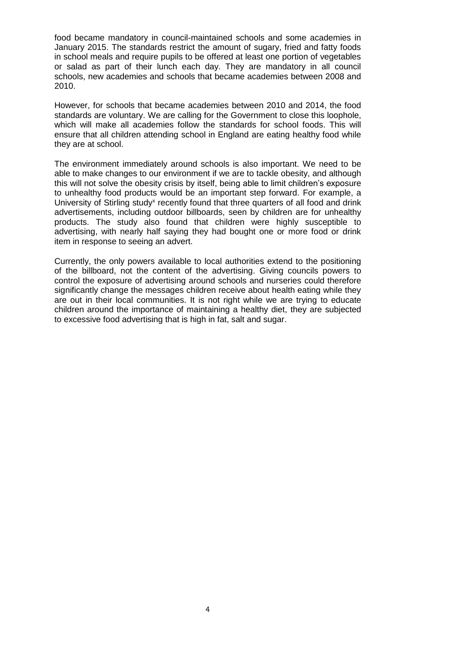food became mandatory in council-maintained schools and some academies in January 2015. The standards restrict the amount of sugary, fried and fatty foods in school meals and require pupils to be offered at least one portion of vegetables or salad as part of their lunch each day. They are mandatory in all council schools, new academies and schools that became academies between 2008 and 2010.

However, for schools that became academies between 2010 and 2014, the food standards are voluntary. We are calling for the Government to close this loophole, which will make all academies follow the standards for school foods. This will ensure that all children attending school in England are eating healthy food while they are at school.

The environment immediately around schools is also important. We need to be able to make changes to our environment if we are to tackle obesity, and although this will not solve the obesity crisis by itself, being able to limit children's exposure to unhealthy food products would be an important step forward. For example, a University of Stirling study<sup>x</sup> recently found that three quarters of all food and drink advertisements, including outdoor billboards, seen by children are for unhealthy products. The study also found that children were highly susceptible to advertising, with nearly half saying they had bought one or more food or drink item in response to seeing an advert.

Currently, the only powers available to local authorities extend to the positioning of the billboard, not the content of the advertising. Giving councils powers to control the exposure of advertising around schools and nurseries could therefore significantly change the messages children receive about health eating while they are out in their local communities. It is not right while we are trying to educate children around the importance of maintaining a healthy diet, they are subjected to excessive food advertising that is high in fat, salt and sugar.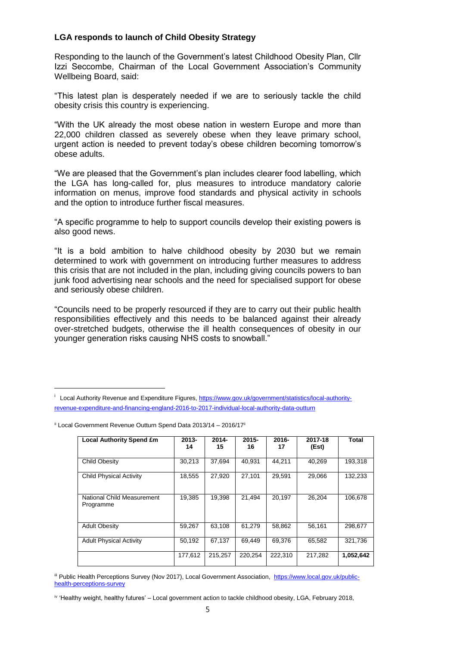### **LGA responds to launch of Child Obesity Strategy**

Responding to the launch of the Government's latest Childhood Obesity Plan, Cllr Izzi Seccombe, Chairman of the Local Government Association's Community Wellbeing Board, said:

"This latest plan is desperately needed if we are to seriously tackle the child obesity crisis this country is experiencing.

"With the UK already the most obese nation in western Europe and more than 22,000 children classed as severely obese when they leave primary school, urgent action is needed to prevent today's obese children becoming tomorrow's obese adults.

"We are pleased that the Government's plan includes clearer food labelling, which the LGA has long-called for, plus measures to introduce mandatory calorie information on menus, improve food standards and physical activity in schools and the option to introduce further fiscal measures.

"A specific programme to help to support councils develop their existing powers is also good news.

"It is a bold ambition to halve childhood obesity by 2030 but we remain determined to work with government on introducing further measures to address this crisis that are not included in the plan, including giving councils powers to ban junk food advertising near schools and the need for specialised support for obese and seriously obese children.

"Councils need to be properly resourced if they are to carry out their public health responsibilities effectively and this needs to be balanced against their already over-stretched budgets, otherwise the ill health consequences of obesity in our younger generation risks causing NHS costs to snowball."

<sup>&</sup>lt;sup>i</sup> Local Authority Revenue and Expenditure Figures, [https://www.gov.uk/government/statistics/local-authority](https://www.gov.uk/government/statistics/local-authority-revenue-expenditure-and-financing-england-2016-to-2017-individual-local-authority-data-outturn)[revenue-expenditure-and-financing-england-2016-to-2017-individual-local-authority-data-outturn](https://www.gov.uk/government/statistics/local-authority-revenue-expenditure-and-financing-england-2016-to-2017-individual-local-authority-data-outturn)

| <b>Local Authority Spend £m</b>         | $2013 -$<br>14 | $2014 -$<br>15 | $2015 -$<br>16 | $2016 -$<br>17 | 2017-18<br>(Est) | Total     |
|-----------------------------------------|----------------|----------------|----------------|----------------|------------------|-----------|
| Child Obesity                           | 30,213         | 37,694         | 40,931         | 44,211         | 40,269           | 193,318   |
| <b>Child Physical Activity</b>          | 18.555         | 27,920         | 27.101         | 29.591         | 29.066           | 132.233   |
| National Child Measurement<br>Programme | 19.385         | 19.398         | 21.494         | 20.197         | 26.204           | 106.678   |
| <b>Adult Obesity</b>                    | 59,267         | 63,108         | 61,279         | 58,862         | 56,161           | 298,677   |
| <b>Adult Physical Activity</b>          | 50.192         | 67,137         | 69.449         | 69.376         | 65.582           | 321.736   |
|                                         | 177.612        | 215,257        | 220.254        | 222,310        | 217,282          | 1,052,642 |

 $ii$  Local Government Revenue Outturn Spend Data 2013/14 – 2016/17 $ii$ 

i

iii Public Health Perceptions Survey (Nov 2017), Local Government Association, [https://www.local.gov.uk/public](https://www.local.gov.uk/public-health-perceptions-survey)[health-perceptions-survey](https://www.local.gov.uk/public-health-perceptions-survey)

iv 'Healthy weight, healthy futures' – Local government action to tackle childhood obesity, LGA, February 2018,